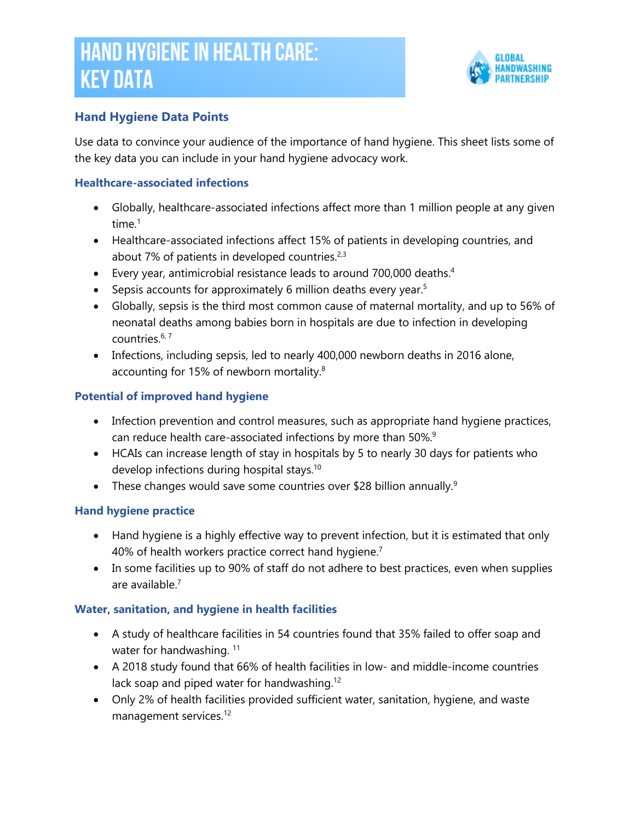# **HAND HYGIENE IN HEALTH CARE: KEY DATA**



## **Hand Hygiene Data Points**

Use data to convince your audience of the importance of hand hygiene. This sheet lists some of the key data you can include in your hand hygiene advocacy work.

#### **Healthcare-associated infections**

- Globally, healthcare-associated infections affect more than 1 million people at any given time.<sup>1</sup>
- Healthcare-associated infections affect 15% of patients in developing countries, and about 7% of patients in developed countries.<sup>2,3</sup>
- Every year, antimicrobial resistance leads to around 700,000 deaths.<sup>4</sup>
- Sepsis accounts for approximately 6 million deaths every year.<sup>5</sup>
- Globally, sepsis is the third most common cause of maternal mortality, and up to 56% of neonatal deaths among babies born in hospitals are due to infection in developing countries. 6, 7
- Infections, including sepsis, led to nearly 400,000 newborn deaths in 2016 alone, accounting for 15% of newborn mortality.<sup>8</sup>

### **Potential of improved hand hygiene**

- Infection prevention and control measures, such as appropriate hand hygiene practices, can reduce health care-associated infections by more than 50%.<sup>9</sup>
- HCAIs can increase length of stay in hospitals by 5 to nearly 30 days for patients who develop infections during hospital stays.<sup>10</sup>
- These changes would save some countries over \$28 billion annually.<sup>9</sup>

### **Hand hygiene practice**

- Hand hygiene is a highly effective way to prevent infection, but it is estimated that only 40% of health workers practice correct hand hygiene.<sup>7</sup>
- In some facilities up to 90% of staff do not adhere to best practices, even when supplies are available. 7

### **Water, sanitation, and hygiene in health facilities**

- A study of healthcare facilities in 54 countries found that 35% failed to offer soap and water for handwashing. <sup>11</sup>
- A 2018 study found that 66% of health facilities in low- and middle-income countries lack soap and piped water for handwashing.<sup>12</sup>
- Only 2% of health facilities provided sufficient water, sanitation, hygiene, and waste management services.<sup>12</sup>